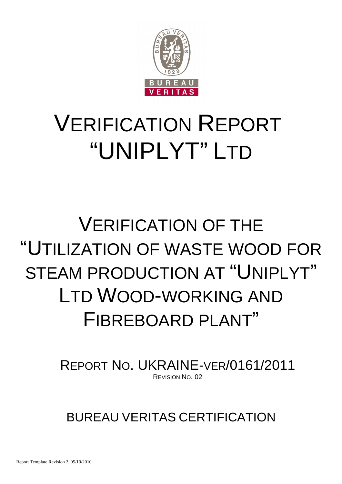

### VERIFICATION REPORT "UNIPLYT" LTD

### VERIFICATION OF THE "UTILIZATION OF WASTE WOOD FOR STEAM PRODUCTION AT "UNIPLYT" LTD WOOD-WORKING AND FIBREBOARD PI ANT"

REPORT NO. UKRAINE-VER/0161/2011 REVISION NO. 02

BUREAU VERITAS CERTIFICATION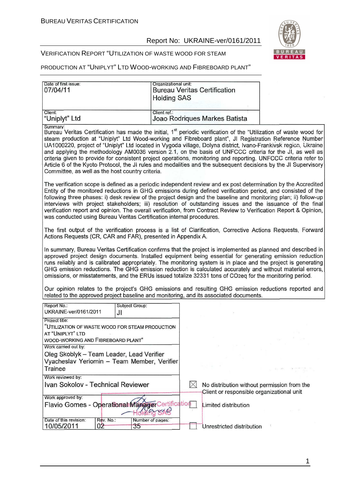

#### VERIFICATION REPORT "UTILIZATION OF WASTE WOOD FOR STEAM

#### PRODUCTION AT "UNIPLYT" LTD WOOD-WORKING AND FIBREBOARD PLANT"

| Date of first issue:<br>07/04/11                                                                                                                                                                                                                                                                                                                                                                                                                                                                                                                                                                                                                              | Organizational unit:<br><b>Bureau Veritas Certification</b><br><b>Holding SAS</b> |                                                                                          |
|---------------------------------------------------------------------------------------------------------------------------------------------------------------------------------------------------------------------------------------------------------------------------------------------------------------------------------------------------------------------------------------------------------------------------------------------------------------------------------------------------------------------------------------------------------------------------------------------------------------------------------------------------------------|-----------------------------------------------------------------------------------|------------------------------------------------------------------------------------------|
|                                                                                                                                                                                                                                                                                                                                                                                                                                                                                                                                                                                                                                                               |                                                                                   |                                                                                          |
| Client:<br>"Uniplyt" Ltd                                                                                                                                                                                                                                                                                                                                                                                                                                                                                                                                                                                                                                      | Client ref.:<br>Joao Rodriques Markes Batista                                     |                                                                                          |
| Summary:<br>Bureau Veritas Certification has made the initial, 1 <sup>st</sup> periodic verification of the "Utilization of waste wood for                                                                                                                                                                                                                                                                                                                                                                                                                                                                                                                    |                                                                                   |                                                                                          |
| steam production at "Uniplyt" Ltd Wood-working and Fibreboard plant", JI Registration Reference Number<br>UA1000220, project of "Uniplyt" Ltd located in Vygoda village, Dolyna district, Ivano-Frankivsk region, Ukraine<br>and applying the methodology AM0036 version 2.1, on the basis of UNFCCC criteria for the JI, as well as<br>criteria given to provide for consistent project operations, monitoring and reporting. UNFCCC criteria refer to<br>Article 6 of the Kyoto Protocol, the JI rules and modalities and the subsequent decisions by the JI Supervisory<br>Committee, as well as the host country criteria.                                |                                                                                   |                                                                                          |
| The verification scope is defined as a periodic independent review and ex post determination by the Accredited<br>Entity of the monitored reductions in GHG emissions during defined verification period, and consisted of the<br>following three phases: i) desk review of the project design and the baseline and monitoring plan; ii) follow-up<br>interviews with project stakeholders; iii) resolution of outstanding issues and the issuance of the final<br>verification report and opinion. The overall verification, from Contract Review to Verification Report & Opinion,<br>was conducted using Bureau Veritas Certification internal procedures. |                                                                                   |                                                                                          |
| The first output of the verification process is a list of Clarification, Corrective Actions Requests, Forward<br>Actions Requests (CR, CAR and FAR), presented in Appendix A.                                                                                                                                                                                                                                                                                                                                                                                                                                                                                 |                                                                                   |                                                                                          |
| In summary, Bureau Veritas Certification confirms that the project is implemented as planned and described in<br>approved project design documents. Installed equipment being essential for generating emission reduction<br>runs reliably and is calibrated appropriately. The monitoring system is in place and the project is generating<br>GHG emission reductions. The GHG emission reduction is calculated accurately and without material errors,<br>omissions, or misstatements, and the ERUs issued totalize 32331 tons of CO2eq for the monitoring period.                                                                                          |                                                                                   |                                                                                          |
| Our opinion relates to the project's GHG emissions and resulting GHG emission reductions reported and<br>related to the approved project baseline and monitoring, and its associated documents.                                                                                                                                                                                                                                                                                                                                                                                                                                                               |                                                                                   |                                                                                          |
| Report No.:<br>Subject Group:<br>UKRAINE-ver/0161/2011<br>JI                                                                                                                                                                                                                                                                                                                                                                                                                                                                                                                                                                                                  |                                                                                   |                                                                                          |
| Project title:                                                                                                                                                                                                                                                                                                                                                                                                                                                                                                                                                                                                                                                |                                                                                   |                                                                                          |
| "UTILIZATION OF WASTE WOOD FOR STEAM PRODUCTION<br>AT "UNIPLYT" LTD                                                                                                                                                                                                                                                                                                                                                                                                                                                                                                                                                                                           |                                                                                   |                                                                                          |
| WOOD-WORKING AND FIBREBOARD PLANT"                                                                                                                                                                                                                                                                                                                                                                                                                                                                                                                                                                                                                            |                                                                                   | $\sim$                                                                                   |
| Work carried out by:                                                                                                                                                                                                                                                                                                                                                                                                                                                                                                                                                                                                                                          |                                                                                   |                                                                                          |
| Oleg Skoblyk - Team Leader, Lead Verifier                                                                                                                                                                                                                                                                                                                                                                                                                                                                                                                                                                                                                     |                                                                                   |                                                                                          |
| Vyacheslav Yeriomin - Team Member, Verifier<br>Trainee                                                                                                                                                                                                                                                                                                                                                                                                                                                                                                                                                                                                        |                                                                                   |                                                                                          |
| Work reviewed by:                                                                                                                                                                                                                                                                                                                                                                                                                                                                                                                                                                                                                                             |                                                                                   |                                                                                          |
| Ivan Sokolov - Technical Reviewer                                                                                                                                                                                                                                                                                                                                                                                                                                                                                                                                                                                                                             | $\boxtimes$                                                                       | No distribution without permission from the<br>Client or responsible organizational unit |
| Work approved by:                                                                                                                                                                                                                                                                                                                                                                                                                                                                                                                                                                                                                                             |                                                                                   |                                                                                          |
| Flavio Gomes - Operational Manager Certification                                                                                                                                                                                                                                                                                                                                                                                                                                                                                                                                                                                                              | Limited distribution<br>SAG                                                       |                                                                                          |
| Date of this revision:<br>Rev. No.:<br>10/05/2011<br>02<br>35                                                                                                                                                                                                                                                                                                                                                                                                                                                                                                                                                                                                 | Number of pages:                                                                  | Unrestricted distribution                                                                |
|                                                                                                                                                                                                                                                                                                                                                                                                                                                                                                                                                                                                                                                               |                                                                                   |                                                                                          |

1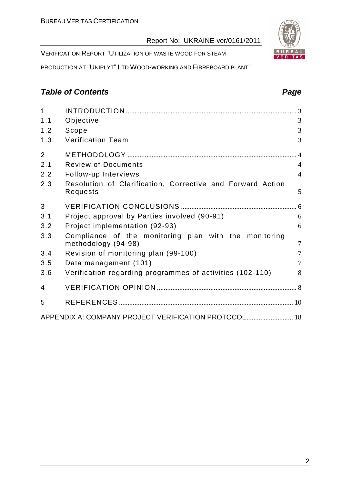VERIFICATION REPORT "UTILIZATION OF WASTE WOOD FOR STEAM

PRODUCTION AT "UNIPLYT" LTD WOOD-WORKING AND FIBREBOARD PLANT"

#### **Table of Contents Page 2014**

| $\overline{1}$ |                                                                              |                |
|----------------|------------------------------------------------------------------------------|----------------|
| 1.1            | Objective                                                                    | 3              |
| 1.2            | Scope                                                                        | 3              |
| 1.3            | <b>Verification Team</b>                                                     | 3              |
| 2              |                                                                              |                |
| 2.1            | <b>Review of Documents</b>                                                   | $\overline{4}$ |
| 2.2            | Follow-up Interviews                                                         | $\overline{4}$ |
| 2.3            | Resolution of Clarification, Corrective and Forward Action<br>Requests       | 5              |
| 3              |                                                                              |                |
| 3.1            | Project approval by Parties involved (90-91)                                 | 6              |
| 3.2            | Project implementation (92-93)                                               | 6              |
| 3.3            | Compliance of the monitoring plan with the monitoring<br>methodology (94-98) | $\overline{7}$ |
| 3.4            | Revision of monitoring plan (99-100)                                         | $\overline{7}$ |
| 3.5            | Data management (101)                                                        | $\overline{7}$ |
| 3.6            | Verification regarding programmes of activities (102-110)                    | 8              |
| 4              |                                                                              |                |
| 5              |                                                                              |                |
|                | APPENDIX A: COMPANY PROJECT VERIFICATION PROTOCOL 18                         |                |
|                |                                                                              |                |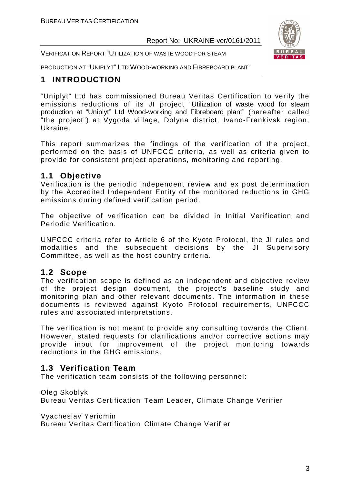VERIFICATION REPORT "UTILIZATION OF WASTE WOOD FOR STEAM



PRODUCTION AT "UNIPLYT" LTD WOOD-WORKING AND FIBREBOARD PLANT"

#### **1 INTRODUCTION**

"Uniplyt" Ltd has commissioned Bureau Veritas Certification to verify the emissions reductions of its JI project "Utilization of waste wood for steam production at "Uniplyt" Ltd Wood-working and Fibreboard plant" (hereafter called "the project") at Vygoda village, Dolyna district, Ivano-Frankivsk region, Ukraine.

This report summarizes the findings of the verification of the project, performed on the basis of UNFCCC criteria, as well as criteria given to provide for consistent project operations, monitoring and reporting.

#### **1.1 Objective**

Verification is the periodic independent review and ex post determination by the Accredited Independent Entity of the monitored reductions in GHG emissions during defined verification period.

The objective of verification can be divided in Initial Verification and Periodic Verification.

UNFCCC criteria refer to Article 6 of the Kyoto Protocol, the JI rules and modalities and the subsequent decisions by the JI Supervisory Committee, as well as the host country criteria.

#### **1.2 Scope**

The verification scope is defined as an independent and objective review of the project design document, the project's baseline study and monitoring plan and other relevant documents. The information in these documents is reviewed against Kyoto Protocol requirements, UNFCCC rules and associated interpretations.

The verification is not meant to provide any consulting towards the Client. However, stated requests for clarifications and/or corrective actions may provide input for improvement of the project monitoring towards reductions in the GHG emissions.

#### **1.3 Verification Team**

The verification team consists of the following personnel:

Oleg Skoblyk

Bureau Veritas Certification Team Leader, Climate Change Verifier

Vyacheslav Yeriomin

Bureau Veritas Certification Climate Change Verifier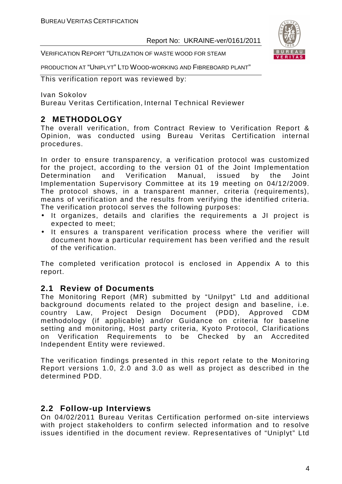VERIFICATION REPORT "UTILIZATION OF WASTE WOOD FOR STEAM

PRODUCTION AT "UNIPLYT" LTD WOOD-WORKING AND FIBREBOARD PLANT"

This verification report was reviewed by:

Ivan Sokolov Bureau Veritas Certification, Internal Technical Reviewer

#### **2 METHODOLOGY**

The overall verification, from Contract Review to Verification Report & Opinion, was conducted using Bureau Veritas Certification internal procedures.

In order to ensure transparency, a verification protocol was customized for the project, according to the version 01 of the Joint Implementation Determination and Verification Manual, issued by the Joint Implementation Supervisory Committee at its 19 meeting on 04/12/2009. The protocol shows, in a transparent manner, criteria (requirements), means of verification and the results from verifying the identified criteria. The verification protocol serves the following purposes:

- It organizes, details and clarifies the requirements a JI project is expected to meet;
- It ensures a transparent verification process where the verifier will document how a particular requirement has been verified and the result of the verification.

The completed verification protocol is enclosed in Appendix A to this report.

#### **2.1 Review of Documents**

The Monitoring Report (MR) submitted by "Unilpyt" Ltd and additional background documents related to the project design and baseline, i.e. country Law, Project Design Document (PDD), Approved CDM methodology (if applicable) and/or Guidance on criteria for baseline setting and monitoring, Host party criteria, Kyoto Protocol, Clarifications on Verification Requirements to be Checked by an Accredited Independent Entity were reviewed.

The verification findings presented in this report relate to the Monitoring Report versions 1.0, 2.0 and 3.0 as well as project as described in the determined PDD.

#### **2.2 Follow-up Interviews**

On 04/02/2011 Bureau Veritas Certification performed on-site interviews with project stakeholders to confirm selected information and to resolve issues identified in the document review. Representatives of "Uniplyt" Ltd

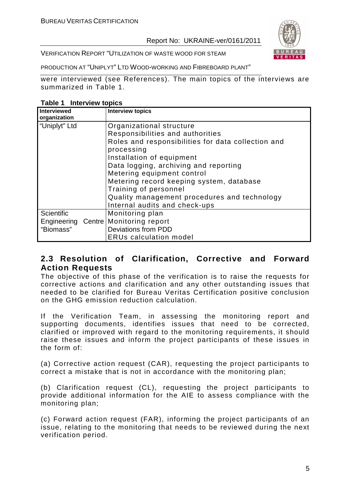

VERIFICATION REPORT "UTILIZATION OF WASTE WOOD FOR STEAM

PRODUCTION AT "UNIPLYT" LTD WOOD-WORKING AND FIBREBOARD PLANT"

were interviewed (see References). The main topics of the interviews are summarized in Table 1.

**Table 1 Interview topics** 

| <b>Interviewed</b><br>organization | <b>Interview topics</b>                            |
|------------------------------------|----------------------------------------------------|
| "Uniplyt" Ltd                      | Organizational structure                           |
|                                    | Responsibilities and authorities                   |
|                                    | Roles and responsibilities for data collection and |
|                                    | processing                                         |
|                                    | Installation of equipment                          |
|                                    | Data logging, archiving and reporting              |
|                                    | Metering equipment control                         |
|                                    | Metering record keeping system, database           |
|                                    | Training of personnel                              |
|                                    | Quality management procedures and technology       |
|                                    | Internal audits and check-ups                      |
| <b>Scientific</b>                  | Monitoring plan                                    |
| Engineering Centre                 | Monitoring report                                  |
| "Biomass"                          | Deviations from PDD                                |
|                                    | <b>ERUs calculation model</b>                      |

#### **2.3 Resolution of Clarification, Corrective and Forward Action Requests**

The objective of this phase of the verification is to raise the requests for corrective actions and clarification and any other outstanding issues that needed to be clarified for Bureau Veritas Certification positive conclusion on the GHG emission reduction calculation.

If the Verification Team, in assessing the monitoring report and supporting documents, identifies issues that need to be corrected, clarified or improved with regard to the monitoring requirements, it should raise these issues and inform the project participants of these issues in the form of:

(a) Corrective action request (CAR), requesting the project participants to correct a mistake that is not in accordance with the monitoring plan;

(b) Clarification request (CL), requesting the project participants to provide additional information for the AIE to assess compliance with the monitoring plan;

(c) Forward action request (FAR), informing the project participants of an issue, relating to the monitoring that needs to be reviewed during the next verification period.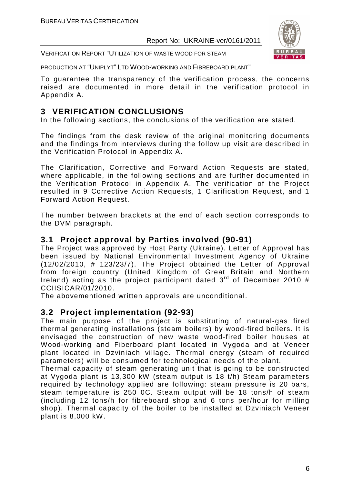

VERIFICATION REPORT "UTILIZATION OF WASTE WOOD FOR STEAM

PRODUCTION AT "UNIPLYT" LTD WOOD-WORKING AND FIBREBOARD PLANT"

To guarantee the transparency of the verification process, the concerns raised are documented in more detail in the verification protocol in Appendix A.

#### **3 VERIFICATION CONCLUSIONS**

In the following sections, the conclusions of the verification are stated.

The findings from the desk review of the original monitoring documents and the findings from interviews during the follow up visit are described in the Verification Protocol in Appendix A.

The Clarification, Corrective and Forward Action Requests are stated, where applicable, in the following sections and are further documented in the Verification Protocol in Appendix A. The verification of the Project resulted in 9 Corrective Action Requests, 1 Clarification Request, and 1 Forward Action Request.

The number between brackets at the end of each section corresponds to the DVM paragraph.

#### **3.1 Project approval by Parties involved (90-91)**

The Project was approved by Host Party (Ukraine). Letter of Approval has been issued by National Environmental Investment Agency of Ukraine (12/02/2010, # 123/23/7). The Project obtained the Letter of Approval from foreign country (United Kingdom of Great Britain and Northern Ireland) acting as the project participant dated  $3<sup>rd</sup>$  of December 2010 # CCIISICAR/01/2010.

The abovementioned written approvals are unconditional.

#### **3.2 Project implementation (92-93)**

The main purpose of the project is substituting of natural-gas fired thermal generating installations (steam boilers) by wood-fired boilers. It is envisaged the construction of new waste wood-fired boiler houses at Wood-working and Fiberboard plant located in Vygoda and at Veneer plant located in Dzviniach village. Thermal energy (steam of required parameters) will be consumed for technological needs of the plant.

Thermal capacity of steam generating unit that is going to be constructed at Vygoda plant is 13,300 kW (steam output is 18 t/h) Steam parameters required by technology applied are following: steam pressure is 20 bars, steam temperature is 250 0C. Steam output will be 18 tons/h of steam (including 12 tons/h for fibreboard shop and 6 tons per/hour for milling shop). Thermal capacity of the boiler to be installed at Dzviniach Veneer plant is 8,000 kW.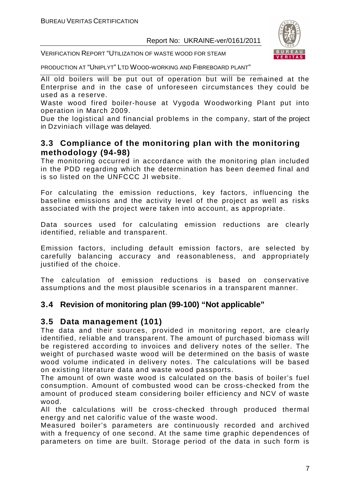

VERIFICATION REPORT "UTILIZATION OF WASTE WOOD FOR STEAM

PRODUCTION AT "UNIPLYT" LTD WOOD-WORKING AND FIBREBOARD PLANT"

All old boilers will be put out of operation but will be remained at the Enterprise and in the case of unforeseen circumstances they could be used as a reserve.

Waste wood fired boiler-house at Vygoda Woodworking Plant put into operation in March 2009.

Due the logistical and financial problems in the company, start of the project in Dzviniach village was delayed.

#### **3.3 Compliance of the monitoring plan with the monitoring methodology (94-98)**

The monitoring occurred in accordance with the monitoring plan included in the PDD regarding which the determination has been deemed final and is so listed on the UNFCCC JI website.

For calculating the emission reductions, key factors, influencing the baseline emissions and the activity level of the project as well as risks associated with the project were taken into account, as appropriate.

Data sources used for calculating emission reductions are clearly identified, reliable and transparent.

Emission factors, including default emission factors, are selected by carefully balancing accuracy and reasonableness, and appropriately justified of the choice.

The calculation of emission reductions is based on conservative assumptions and the most plausible scenarios in a transparent manner.

#### **3.4 Revision of monitoring plan (99-100) "Not applicable"**

#### **3.5 Data management (101)**

The data and their sources, provided in monitoring report, are clearly identified, reliable and transparent. The amount of purchased biomass will be registered according to invoices and delivery notes of the seller. The weight of purchased waste wood will be determined on the basis of waste wood volume indicated in delivery notes. The calculations will be based on existing literature data and waste wood passports.

The amount of own waste wood is calculated on the basis of boiler's fuel consumption. Amount of combusted wood can be cross-checked from the amount of produced steam considering boiler efficiency and NCV of waste wood.

All the calculations will be cross-checked through produced thermal energy and net calorific value of the waste wood.

Measured boiler's parameters are continuously recorded and archived with a frequency of one second. At the same time graphic dependences of parameters on time are built. Storage period of the data in such form is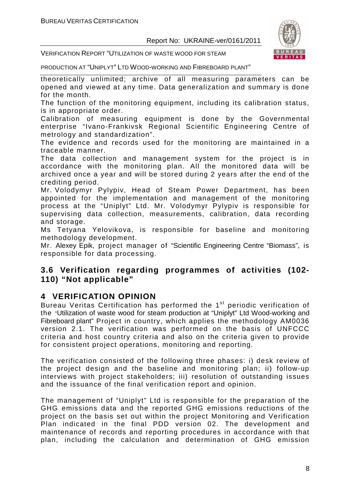

VERIFICATION REPORT "UTILIZATION OF WASTE WOOD FOR STEAM

PRODUCTION AT "UNIPLYT" LTD WOOD-WORKING AND FIBREBOARD PLANT"

theoretically unlimited; archive of all measuring parameters can be opened and viewed at any time. Data generalization and summary is done for the month.

The function of the monitoring equipment, including its calibration status, is in appropriate order.

Calibration of measuring equipment is done by the Governmental enterprise "Ivano-Frankivsk Regional Scientific Engineering Centre of metrology and standardization".

The evidence and records used for the monitoring are maintained in a traceable manner.

The data collection and management system for the project is in accordance with the monitoring plan. All the monitored data will be archived once a year and will be stored during 2 years after the end of the crediting period.

Mr. Volodymyr Pylypiv, Head of Steam Power Department, has been appointed for the implementation and management of the monitoring process at the "Uniplyt" Ltd. Mr. Volodymyr Pylypiv is responsible for supervising data collection, measurements, calibration, data recording and storage.

Ms Tetyana Yelovikova, is responsible for baseline and monitoring methodology development.

Mr. Alexey Epik, project manager of "Scientific Engineering Centre "Biomass", is responsible for data processing.

#### **3.6 Verification regarding programmes of activities (102- 110) "Not applicable"**

#### **4 VERIFICATION OPINION**

Bureau Veritas Certification has performed the 1<sup>st</sup> periodic verification of the "Utilization of waste wood for steam production at "Uniplyt" Ltd Wood-working and Fibreboard plant" Project in country, which applies the methodology AM0036 version 2.1. The verification was performed on the basis of UNFCCC criteria and host country criteria and also on the criteria given to provide for consistent project operations, monitoring and reporting.

The verification consisted of the following three phases: i) desk review of the project design and the baseline and monitoring plan; ii) follow-up interviews with project stakeholders; iii) resolution of outstanding issues and the issuance of the final verification report and opinion.

The management of "Uniplyt" Ltd is responsible for the preparation of the GHG emissions data and the reported GHG emissions reductions of the project on the basis set out within the project Monitoring and Verification Plan indicated in the final PDD version 02. The development and maintenance of records and reporting procedures in accordance with that plan, including the calculation and determination of GHG emission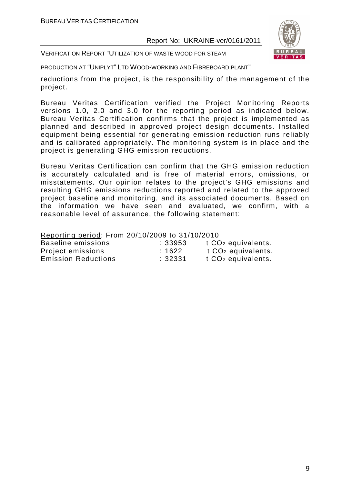

VERIFICATION REPORT "UTILIZATION OF WASTE WOOD FOR STEAM

PRODUCTION AT "UNIPLYT" LTD WOOD-WORKING AND FIBREBOARD PLANT"

reductions from the project, is the responsibility of the management of the project.

Bureau Veritas Certification verified the Project Monitoring Reports versions 1.0, 2.0 and 3.0 for the reporting period as indicated below. Bureau Veritas Certification confirms that the project is implemented as planned and described in approved project design documents. Installed equipment being essential for generating emission reduction runs reliably and is calibrated appropriately. The monitoring system is in place and the project is generating GHG emission reductions.

Bureau Veritas Certification can confirm that the GHG emission reduction is accurately calculated and is free of material errors, omissions, or misstatements. Our opinion relates to the project's GHG emissions and resulting GHG emissions reductions reported and related to the approved project baseline and monitoring, and its associated documents. Based on the information we have seen and evaluated, we confirm, with a reasonable level of assurance, the following statement:

Reporting period: From 20/10/2009 to 31/10/2010

| Baseline emissions         | : 33953 | t CO <sub>2</sub> equivalents. |
|----------------------------|---------|--------------------------------|
| Project emissions          | :1622   | t CO <sub>2</sub> equivalents. |
| <b>Emission Reductions</b> | :32331  | t CO <sub>2</sub> equivalents. |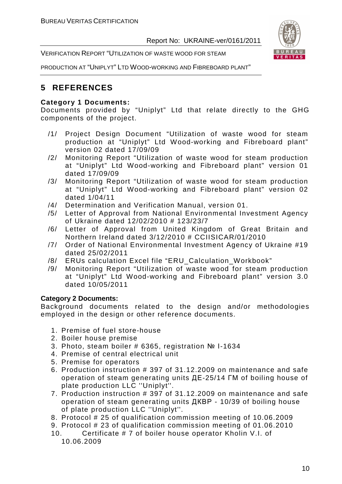VERIFICATION REPORT "UTILIZATION OF WASTE WOOD FOR STEAM



PRODUCTION AT "UNIPLYT" LTD WOOD-WORKING AND FIBREBOARD PLANT"

#### **5 REFERENCES**

#### **Category 1 Documents:**

Documents provided by "Uniplyt" Ltd that relate directly to the GHG components of the project.

- /1/ Project Design Document "Utilization of waste wood for steam production at "Uniplyt" Ltd Wood-working and Fibreboard plant" version 02 dated 17/09/09
- /2/ Monitoring Report "Utilization of waste wood for steam production at "Uniplyt" Ltd Wood-working and Fibreboard plant" version 01 dated 17/09/09
- /3/ Monitoring Report "Utilization of waste wood for steam production at "Uniplyt" Ltd Wood-working and Fibreboard plant" version 02 dated 1/04/11
- /4/ Determination and Verification Manual, version 01.
- /5/ Letter of Approval from National Environmental Investment Agency of Ukraine dated 12/02/2010 # 123/23/7
- /6/ Letter of Approval from United Kingdom of Great Britain and Northern Ireland dated 3/12/2010 # CCIISICAR/01/2010
- /7/ Order of National Environmental Investment Agency of Ukraine #19 dated 25/02/2011
- /8/ ERUs calculation Excel file "ERU\_Calculation\_Workbook"
- /9/ Monitoring Report "Utilization of waste wood for steam production at "Uniplyt" Ltd Wood-working and Fibreboard plant" version 3.0 dated 10/05/2011

#### **Category 2 Documents:**

Background documents related to the design and/or methodologies employed in the design or other reference documents.

- 1. Premise of fuel store-house
- 2. Boiler house premise
- 3. Photo, steam boiler # 6365, registration № І-1634
- 4. Premise of central electrical unit
- 5. Premise for operators
- 6. Production instruction # 397 of 31.12.2009 on maintenance and safe operation of steam generating units ДЕ-25/14 ГМ of boiling house of plate production LLC ''Uniplyt''.
- 7. Production instruction # 397 of 31.12.2009 on maintenance and safe operation of steam generating units ДКВР - 10/39 of boiling house of plate production LLC ''Uniplyt''.
- 8. Protocol # 25 of qualification commission meeting of 10.06.2009
- 9. Protocol # 23 of qualification commission meeting of 01.06.2010
- 10. Certificate # 7 of boiler house operator Kholin V.I. of 10.06.2009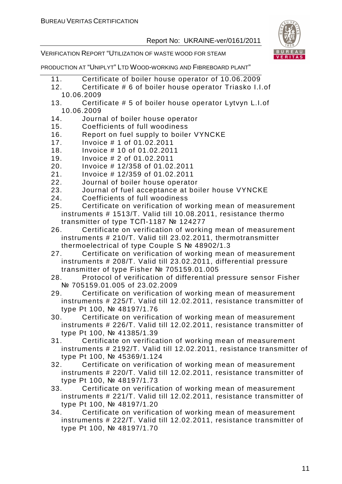

VERIFICATION REPORT "UTILIZATION OF WASTE WOOD FOR STEAM

- 11. Certificate of boiler house operator of 10.06.2009
- 12. Certificate # 6 of boiler house operator Triasko I.I.of 10.06.2009
- 13. Certificate # 5 of boiler house operator Lytvyn L.I.of 10.06.2009
- 14. Journal of boiler house operator
- 15. Coefficients of full woodiness
- 16. Report on fuel supply to boiler VYNCKE
- 17. Invoice # 1 of 01.02.2011
- 18. Invoice # 10 of 01.02.2011
- 19. Invoice # 2 of 01.02.2011
- 20. Invoice # 12/358 of 01.02.2011
- 21. Invoice # 12/359 of 01.02.2011
- 22. Journal of boiler house operator
- 23. Journal of fuel acceptance at boiler house VYNCKE
- 24. Coefficients of full woodiness
- 25. Certificate on verification of working mean of measurement instruments # 1513/T. Valid till 10.08.2011, resistance thermo transmitter of type ТСП-1187 № 124277
- 26. Certificate on verification of working mean of measurement instruments # 210/T. Valid till 23.02.2011, thermotransmitter thermoelectrical of type Couple S № 48902/1.3
- 27. Certificate on verification of working mean of measurement instruments # 208/T. Valid till 23.02.2011, differential pressure transmitter of type Fisher № 705159.01.005
- 28. Protocol of verification of differential pressure sensor Fisher № 705159.01.005 of 23.02.2009
- 29. Certificate on verification of working mean of measurement instruments # 225/T. Valid till 12.02.2011, resistance transmitter of type Pt 100, № 48197/1.76
- 30. Certificate on verification of working mean of measurement instruments # 226/T. Valid till 12.02.2011, resistance transmitter of type Pt 100, № 41385/1.39
- 31. Certificate on verification of working mean of measurement instruments # 2192/T. Valid till 12.02.2011, resistance transmitter of type Pt 100, № 45369/1.124
- 32. Certificate on verification of working mean of measurement instruments # 220/T. Valid till 12.02.2011, resistance transmitter of type Pt 100, № 48197/1.73
- 33. Certificate on verification of working mean of measurement instruments # 221/T. Valid till 12.02.2011, resistance transmitter of type Pt 100, № 48197/1.20
- 34. Certificate on verification of working mean of measurement instruments # 222/T. Valid till 12.02.2011, resistance transmitter of type Pt 100, № 48197/1.70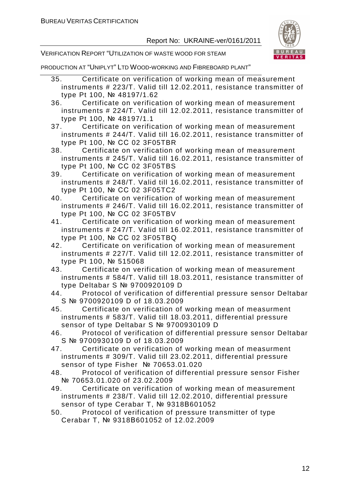

VERIFICATION REPORT "UTILIZATION OF WASTE WOOD FOR STEAM

- 35. Certificate on verification of working mean of measurement instruments # 223/T. Valid till 12.02.2011, resistance transmitter of type Pt 100, № 48197/1.62
- 36. Certificate on verification of working mean of measurement instruments # 224/T. Valid till 12.02.2011, resistance transmitter of type Pt 100, № 48197/1.1
- 37. Certificate on verification of working mean of measurement instruments # 244/T. Valid till 16.02.2011, resistance transmitter of type Pt 100, № СС 02 3F05TBR
- 38. Certificate on verification of working mean of measurement instruments # 245/T. Valid till 16.02.2011, resistance transmitter of type Pt 100, № СС 02 3F05TBS
- 39. Certificate on verification of working mean of measurement instruments # 248/T. Valid till 16.02.2011, resistance transmitter of type Pt 100, № СС 02 3F05TC2
- 40. Certificate on verification of working mean of measurement instruments # 246/T. Valid till 16.02.2011, resistance transmitter of type Pt 100, № СС 02 3F05TBV
- 41. Certificate on verification of working mean of measurement instruments # 247/T. Valid till 16.02.2011, resistance transmitter of type Pt 100, № СС 02 3F05TBQ
- 42. Certificate on verification of working mean of measurement instruments # 227/T. Valid till 12.02.2011, resistance transmitter of type Pt 100, № 515068
- 43. Certificate on verification of working mean of measurement instruments # 584/T. Valid till 18.03.2011, resistance transmitter of type Deltabar S № 9700920109 D
- 44. Protocol of verification of differential pressure sensor Deltabar S № 9700920109 D of 18.03.2009
- 45. Certificate on verification of working mean of measurment instruments # 583/T. Valid till 18.03.2011, differential pressure sensor of type Deltabar S № 9700930109 D
- 46. Protocol of verification of differential pressure sensor Deltabar S № 9700930109 D of 18.03.2009
- 47. Certificate on verification of working mean of measurment instruments # 309/T. Valid till 23.02.2011, differential pressure sensor of type Fisher Nº 70653.01.020
- 48. Protocol of verification of differential pressure sensor Fisher № 70653.01.020 of 23.02.2009
- 49. Certificate on verification of working mean of measurement instruments # 238/T. Valid till 12.02.2010, differential pressure sensor of type Cerabar T, Nº 9318B601052
- 50. Protocol of verification of pressure transmitter of type Cerabar T, № 9318В601052 of 12.02.2009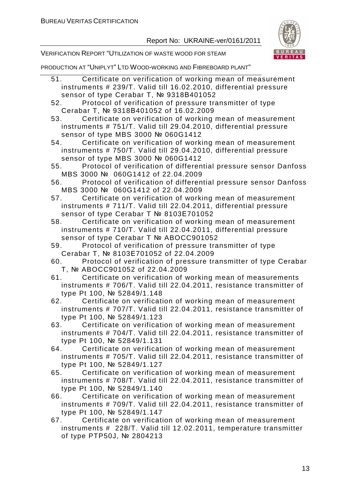

VERIFICATION REPORT "UTILIZATION OF WASTE WOOD FOR STEAM

PRODUCTION AT "UNIPLYT" LTD WOOD-WORKING AND FIBREBOARD PLANT"

- 51. Certificate on verification of working mean of measurement instruments # 239/T. Valid till 16.02.2010, differential pressure sensor of type Cerabar T, Nº 9318B401052
- 52. Protocol of verification of pressure transmitter of type Cerabar T, № 9318В401052 of 16.02.2009

53. Certificate on verification of working mean of measurement instruments # 751/T. Valid till 29.04.2010, differential pressure sensor of type MBS 3000 № 060G1412

54. Certificate on verification of working mean of measurement instruments # 750/T. Valid till 29.04.2010, differential pressure sensor of type MBS 3000 № 060G1412

- 55. Protocol of verification of differential pressure sensor Danfoss MBS 3000 № 060G1412 of 22.04.2009
- 56. Protocol of verification of differential pressure sensor Danfoss MBS 3000 № 060G1412 of 22.04.2009
- 57. Certificate on verification of working mean of measurement instruments # 711/T. Valid till 22.04.2011, differential pressure sensor of type Cerabar T Nº 8103E701052

58. Certificate on verification of working mean of measurement instruments # 710/T. Valid till 22.04.2011, differential pressure sensor of type Cerabar T Nº ABOCC901052

- 59. Protocol of verification of pressure transmitter of type Cerabar T, № 8103Е701052 of 22.04.2009
- 60. Protocol of verification of pressure transmitter of type Cerabar T, № ABOCC901052 of 22.04.2009
- 61. Certificate on verification of working mean of measurements instruments # 706/T. Valid till 22.04.2011, resistance transmitter of type Pt 100, № 52849/1.148

62. Certificate on verification of working mean of measurement instruments # 707/T. Valid till 22.04.2011, resistance transmitter of type Pt 100, № 52849/1.123

- 63. Certificate on verification of working mean of measurement instruments # 704/T. Valid till 22.04.2011, resistance transmitter of type Pt 100, № 52849/1.131
- 64. Certificate on verification of working mean of measurement instruments # 705/T. Valid till 22.04.2011, resistance transmitter of type Pt 100, № 52849/1.127

65. Certificate on verification of working mean of measurement instruments # 708/T. Valid till 22.04.2011, resistance transmitter of type Pt 100, № 52849/1.140

66. Certificate on verification of working mean of measurement instruments # 709/T. Valid till 22.04.2011, resistance transmitter of type Pt 100, № 52849/1.147

67. Certificate on verification of working mean of measurement instruments # 228/T. Valid till 12.02.2011, temperature transmitter of type PTP50J, № 2804213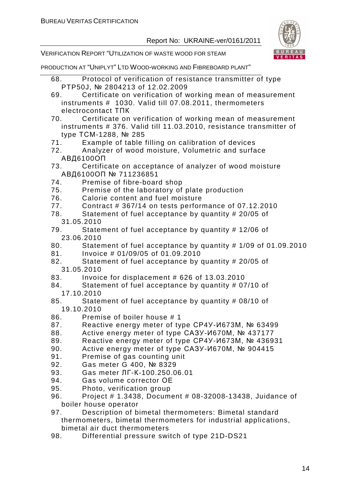

VERIFICATION REPORT "UTILIZATION OF WASTE WOOD FOR STEAM

- 68. Protocol of verification of resistance transmitter of type PTP50J, № 2804213 of 12.02.2009
- 69. Certificate on verification of working mean of measurement instruments # 1030. Valid till 07.08.2011, thermometers electrocontact ТПК
- 70. Certificate on verification of working mean of measurement instruments # 376. Valid till 11.03.2010, resistance transmitter of type ТСМ-1288, № 285
- 71. Example of table filling on calibration of devices
- 72. Analyzer of wood moisture, Volumetric and surface АВД6100ОП
- 73. Certificate on acceptance of analyzer of wood moisture АВД6100ОП № 711236851
- 74. Premise of fibre-board shop
- 75. Premise of the laboratory of plate production
- 76. Calorie content and fuel moisture
- 77. Contract # 367/14 on tests performance of 07.12.2010
- 78. Statement of fuel acceptance by quantity # 20/05 of 31.05.2010
- 79. Statement of fuel acceptance by quantity # 12/06 of 23.06.2010
- 80. Statement of fuel acceptance by quantity # 1/09 of 01.09.2010
- 81. Invoice # 01/09/05 of 01.09.2010
- 82. Statement of fuel acceptance by quantity # 20/05 of
- 31.05.2010
- 83. Invoice for displacement # 626 of 13.03.2010
- 84. Statement of fuel acceptance by quantity # 07/10 of 17.10.2010
- 85. Statement of fuel acceptance by quantity # 08/10 of 19.10.2010
- 86. Premise of boiler house # 1
- 87. Reactive energy meter of type СР4У-И673М, № 63499
- 88. Active energy meter of type САЗУ-И670М, № 437177
- 89. Reactive energy meter of type СР4У-И673М, № 436931
- 90. Active energy meter of type CA3Y-*V*I670M, No 904415
- 91. Premise of gas counting unit
- 92. Gas meter G 400, № 8329
- 93. Gas meter ЛГ-К-100.250.06.01
- 94. Gas volume corrector ОЕ
- 95. Photo, verification group
- 96. Project # 1.3438, Document # 08-32008-13438, Juidance of boiler house operator
- 97. Description of bimetal thermometers: Bimetal standard thermometers, bimetal thermometers for industrial applications, bimetal air duct thermometers
- 98. Differential pressure switch of type 21D-DS21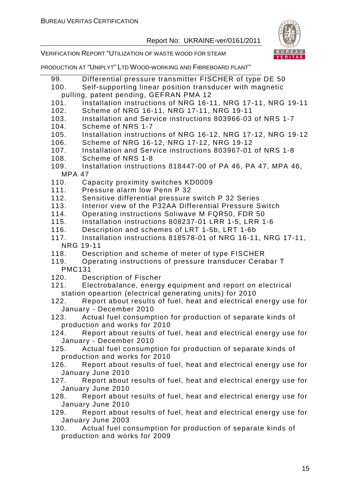

VERIFICATION REPORT "UTILIZATION OF WASTE WOOD FOR STEAM

- 99. Differential pressure transmitter FISCHER of type DE 50
- 100. Self-supporting linear position transducer with magnetic pulling, patent pending, GEFRAN PMA 12
- 101. Installation instructions of NRG 16-11, NRG 17-11, NRG 19-11
- 102. Scheme of NRG 16-11, NRG 17-11, NRG 19-11
- 103. Installation and Service instructions 803966-03 of NRS 1-7
- 104. Scheme of NRS 1-7
- 105. Installation instructions of NRG 16-12, NRG 17-12, NRG 19-12
- 106. Scheme of NRG 16-12, NRG 17-12, NRG 19-12
- 107. Installation and Service instructions 803967-01 of NRS 1-8
- 108. Scheme of NRS 1-8
- 109. Installation instructions 818447-00 of PA 46, PA 47, MPA 46, MPA 47
- 110. Capacity proximity switches KD0009
- 111. Pressure alarm low Penn P 32
- 112. Sensitive differential pressure switch P 32 Series
- 113. Interior view of the P32AA Differential Pressure Switch
- 114. Operating instructions Soliwave M FQR50, FDR 50
- 115. Installation instructions 808237-01 LRR 1-5, LRR 1-6
- 116. Description and schemes of LRT 1-5b, LRT 1-6b
- 117. Installation instructions 818578-01 of NRG 16-11, NRG 17-11, NRG 19-11
- 118. Description and scheme of meter of type FISCHER
- 119. Operating instructions of pressure transducer Cerabar T PMC131
- 120. Description of Fischer
- 121. Electrobalance, energy equipment and report on electrical station opeartion (electrical generating units) for 2010
- 122. Report about results of fuel, heat and electrical energy use for January - December 2010
- 123. Actual fuel consumption for production of separate kinds of production and works for 2010
- 124. Report about results of fuel, heat and electrical energy use for January - December 2010
- 125. Actual fuel consumption for production of separate kinds of production and works for 2010
- 126. Report about results of fuel, heat and electrical energy use for January June 2010
- 127. Report about results of fuel, heat and electrical energy use for January June 2010
- 128. Report about results of fuel, heat and electrical energy use for January June 2010
- 129. Report about results of fuel, heat and electrical energy use for January June 2003
- 130. Actual fuel consumption for production of separate kinds of production and works for 2009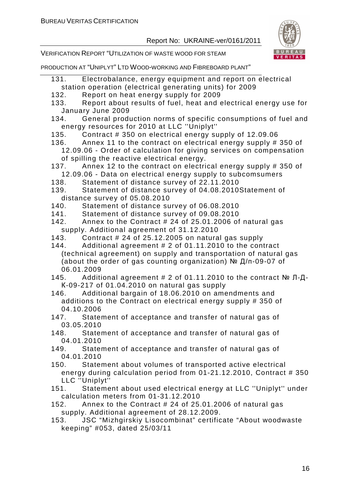

VERIFICATION REPORT "UTILIZATION OF WASTE WOOD FOR STEAM

- 131. Electrobalance, energy equipment and report on electrical station operation (electrical generating units) for 2009
- 132. Report on heat energy supply for 2009
- 133. Report about results of fuel, heat and electrical energy use for January June 2009
- 134. General production norms of specific consumptions of fuel and energy resources for 2010 at LLC ''Uniplyt''
- 135. Contract # 350 on electrical energy supply of 12.09.06
- 136. Annex 11 to the contract on electrical energy supply # 350 of 12.09.06 - Order of calculation for giving services on compensation of spilling the reactive electrical energy.
- 137. Annex 12 to the contract on electrical energy supply # 350 of 12.09.06 - Data on electrical energy supply to subcomsumers
- 138. Statement of distance survey of 22.11.2010
- 139. Statement of distance survey of 04.08.2010Statement of distance survey of 05.08.2010
- 140. Statement of distance survey of 06.08.2010
- 141. Statement of distance survey of 09.08.2010
- 142. Annex to the Contract # 24 of 25.01.2006 of natural gas supply. Additional agreement of 31.12.2010
- 143. Contract # 24 of 25.12.2005 on natural gas supply
- 144. Additional agreement # 2 of 01.11.2010 to the contract (technical agreement) on supply and transportation of natural gas (about the order of gas counting organization) № Д/п-09-07 of 06.01.2009
- 145. Additional agreement # 2 of 01.11.2010 to the contract № Л-Д-К-09-217 of 01.04.2010 on natural gas supply
- 146. Additional bargain of 18.06.2010 on amendments and additions to the Contract on electrical energy supply # 350 of 04.10.2006
- 147. Statement of acceptance and transfer of natural gas of 03.05.2010
- 148. Statement of acceptance and transfer of natural gas of 04.01.2010
- 149. Statement of acceptance and transfer of natural gas of 04.01.2010
- 150. Statement about volumes of transported active electrical energy during calculation period from 01-21.12.2010, Contract # 350 LLC ''Uniplyt''
- 151. Statement about used electrical energy at LLC ''Uniplyt'' under calculation meters from 01-31.12.2010
- 152. Annex to the Contract # 24 of 25.01.2006 of natural gas supply. Additional agreement of 28.12.2009.
- 153. JSC "Mizhgirskiy Lisocombinat" certificate "About woodwaste keeping" #053, dated 25/03/11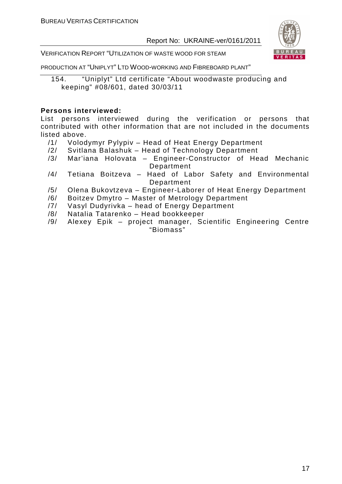

VERIFICATION REPORT "UTILIZATION OF WASTE WOOD FOR STEAM

PRODUCTION AT "UNIPLYT" LTD WOOD-WORKING AND FIBREBOARD PLANT"

154. "Uniplyt" Ltd certificate "About woodwaste producing and keeping" #08/601, dated 30/03/11

#### **Persons interviewed:**

List persons interviewed during the verification or persons that contributed with other information that are not included in the documents listed above.

- /1/ Volodymyr Pylypiv Head of Heat Energy Department
- /2/ Svitlana Balashuk Head of Technology Department
- /3/ Mar'iana Holovata Engineer-Constructor of Head Mechanic Department
- /4/ Tetiana Boitzeva Haed of Labor Safety and Environmental Department
- /5/ Olena Bukovtzeva Engineer-Laborer of Heat Energy Department
- /6/ Boitzev Dmytro Master of Metrology Department
- /7/ Vasyl Dudyrivka head of Energy Department
- /8/ Natalia Tatarenko Head bookkeeper
- /9/ Alexey Epik project manager, Scientific Engineering Centre "Biomass"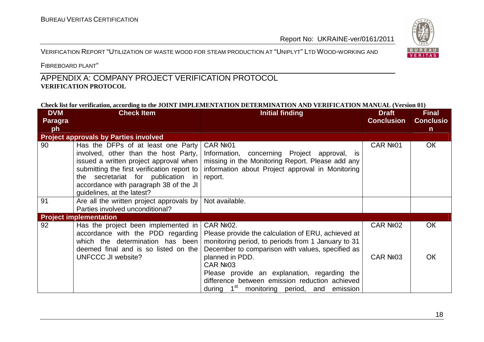#### VERIFICATION REPORT "UTILIZATION OF WASTE WOOD FOR STEAM PRODUCTION AT "UNIPLYT" <sup>L</sup>TD WOOD-WORKING AND



FIBREBOARD PLANT"

#### APPENDIX A: COMPANY PROJECT VERIFICATION PROTOCOL **VERIFICATION PROTOCOL**

#### **Check list for verification, according to the JOINT IMPLEMENTATION DETERMINATION AND VERIFICATION MANUAL (Version 01)**

| <b>DVM</b> | <b>Check Item</b>                                                                                                                                                                                                                  | <b>Initial finding</b>                                                                                                                                                                                                                                                                                                                                                                  | <b>Draft</b>         | <b>Final</b>     |
|------------|------------------------------------------------------------------------------------------------------------------------------------------------------------------------------------------------------------------------------------|-----------------------------------------------------------------------------------------------------------------------------------------------------------------------------------------------------------------------------------------------------------------------------------------------------------------------------------------------------------------------------------------|----------------------|------------------|
| Paragra    |                                                                                                                                                                                                                                    |                                                                                                                                                                                                                                                                                                                                                                                         | <b>Conclusion</b>    | <b>Conclusio</b> |
| ph         |                                                                                                                                                                                                                                    |                                                                                                                                                                                                                                                                                                                                                                                         |                      | $\mathsf{n}$     |
|            | <b>Project approvals by Parties involved</b>                                                                                                                                                                                       |                                                                                                                                                                                                                                                                                                                                                                                         |                      |                  |
| 90         | Has the DFPs of at least one Party<br>involved, other than the host Party,<br>issued a written project approval when<br>the secretariat for publication in<br>accordance with paragraph 38 of the JI<br>guidelines, at the latest? | CAR Nº01<br>Information, concerning Project approval, is<br>missing in the Monitoring Report. Please add any<br>submitting the first verification report to   information about Project approval in Monitoring<br>report.                                                                                                                                                               | CAR Nº01             | <b>OK</b>        |
| 91         | Are all the written project approvals by $\vert$ Not available.<br>Parties involved unconditional?                                                                                                                                 |                                                                                                                                                                                                                                                                                                                                                                                         |                      |                  |
|            | <b>Project implementation</b>                                                                                                                                                                                                      |                                                                                                                                                                                                                                                                                                                                                                                         |                      |                  |
| 92         | Has the project been implemented in<br>accordance with the PDD regarding<br>which the determination has been<br>deemed final and is so listed on the<br><b>UNFCCC JI website?</b>                                                  | <b>CAR Nº02.</b><br>Please provide the calculation of ERU, achieved at<br>monitoring period, to periods from 1 January to 31<br>December to comparison with values, specified as<br>planned in PDD.<br>CAR Nº <sub>03</sub><br>Please provide an explanation, regarding the<br>difference between emission reduction achieved<br>during 1 <sup>st</sup> monitoring period, and emission | CAR Nº02<br>CAR Nº03 | <b>OK</b><br>ОК  |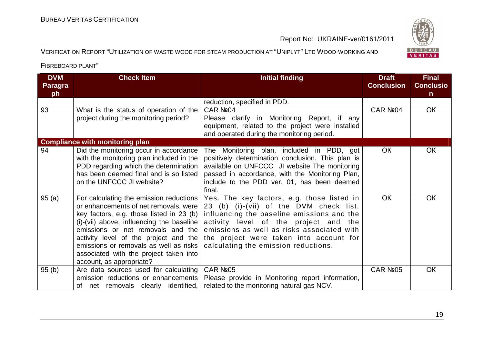## BUREAU<br>VERITAS

#### VERIFICATION REPORT "UTILIZATION OF WASTE WOOD FOR STEAM PRODUCTION AT "UNIPLYT" <sup>L</sup>TD WOOD-WORKING AND

| <b>DVM</b><br><b>Paragra</b><br>ph | <b>Check Item</b>                                                                                                                                                                                                                                                                                                                                                       | <b>Initial finding</b>                                                                                                                                                                                                                                                                                        | <b>Draft</b><br><b>Conclusion</b> | <b>Final</b><br><b>Conclusio</b><br>n. |
|------------------------------------|-------------------------------------------------------------------------------------------------------------------------------------------------------------------------------------------------------------------------------------------------------------------------------------------------------------------------------------------------------------------------|---------------------------------------------------------------------------------------------------------------------------------------------------------------------------------------------------------------------------------------------------------------------------------------------------------------|-----------------------------------|----------------------------------------|
|                                    |                                                                                                                                                                                                                                                                                                                                                                         | reduction, specified in PDD.                                                                                                                                                                                                                                                                                  |                                   |                                        |
| 93                                 | What is the status of operation of the<br>project during the monitoring period?                                                                                                                                                                                                                                                                                         | CAR Nº04<br>Please clarify in Monitoring Report, if any<br>equipment, related to the project were installed<br>and operated during the monitoring period.                                                                                                                                                     | CAR Nº <sub>04</sub>              | <b>OK</b>                              |
|                                    | <b>Compliance with monitoring plan</b>                                                                                                                                                                                                                                                                                                                                  |                                                                                                                                                                                                                                                                                                               |                                   |                                        |
| 94                                 | Did the monitoring occur in accordance<br>with the monitoring plan included in the<br>PDD regarding which the determination<br>has been deemed final and is so listed<br>on the UNFCCC JI website?                                                                                                                                                                      | The Monitoring plan, included in PDD, got<br>positively determination conclusion. This plan is<br>available on UNFCCC JI website The monitoring<br>passed in accordance, with the Monitoring Plan,<br>include to the PDD ver. 01, has been deemed<br>final.                                                   | <b>OK</b>                         | <b>OK</b>                              |
| 95(a)                              | For calculating the emission reductions<br>or enhancements of net removals, were<br>key factors, e.g. those listed in 23 (b)<br>(i)-(vii) above, influencing the baseline<br>emissions or net removals and the<br>activity level of the project and the<br>emissions or removals as well as risks<br>associated with the project taken into<br>account, as appropriate? | Yes. The key factors, e.g. those listed in<br>23 (b) (i)-(vii) of the DVM check list,<br>influencing the baseline emissions and the<br>activity level of the project and the<br>emissions as well as risks associated with<br>the project were taken into account for<br>calculating the emission reductions. | <b>OK</b>                         | <b>OK</b>                              |
| 95(b)                              | Are data sources used for calculating<br>emission reductions or enhancements<br>of net removals clearly identified,                                                                                                                                                                                                                                                     | CAR Nº05<br>Please provide in Monitoring report information,<br>related to the monitoring natural gas NCV.                                                                                                                                                                                                    | CAR Nº05                          | <b>OK</b>                              |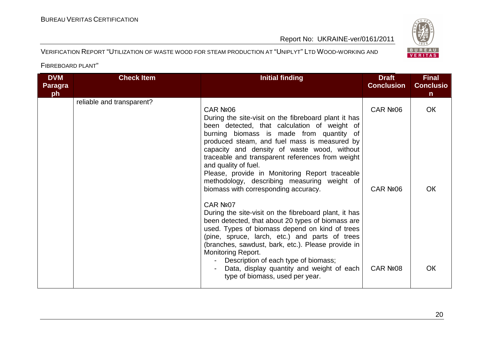# BUREAU<br>VERITAS

#### VERIFICATION REPORT "UTILIZATION OF WASTE WOOD FOR STEAM PRODUCTION AT "UNIPLYT" <sup>L</sup>TD WOOD-WORKING AND

| <b>DVM</b><br><b>Paragra</b><br>ph | <b>Check Item</b>         | <b>Initial finding</b>                                                                                                                                                                                                                                                                                                                                                                                                                                                                                                                                                                                                                                                                                                                                                                                                                                                                             | <b>Draft</b><br><b>Conclusion</b> | <b>Final</b><br><b>Conclusio</b><br>n. |
|------------------------------------|---------------------------|----------------------------------------------------------------------------------------------------------------------------------------------------------------------------------------------------------------------------------------------------------------------------------------------------------------------------------------------------------------------------------------------------------------------------------------------------------------------------------------------------------------------------------------------------------------------------------------------------------------------------------------------------------------------------------------------------------------------------------------------------------------------------------------------------------------------------------------------------------------------------------------------------|-----------------------------------|----------------------------------------|
|                                    | reliable and transparent? | CAR Nº <sub>06</sub><br>During the site-visit on the fibreboard plant it has<br>been detected, that calculation of weight of<br>burning biomass is made from quantity of<br>produced steam, and fuel mass is measured by<br>capacity and density of waste wood, without<br>traceable and transparent references from weight<br>and quality of fuel.<br>Please, provide in Monitoring Report traceable<br>methodology, describing measuring weight of<br>biomass with corresponding accuracy.<br>CAR Nº07<br>During the site-visit on the fibreboard plant, it has<br>been detected, that about 20 types of biomass are<br>used. Types of biomass depend on kind of trees<br>(pine, spruce, larch, etc.) and parts of trees<br>(branches, sawdust, bark, etc.). Please provide in<br><b>Monitoring Report.</b><br>Description of each type of biomass;<br>Data, display quantity and weight of each | CAR №06<br>CAR Nº06<br>CAR Nº08   | <b>OK</b><br><b>OK</b><br><b>OK</b>    |
|                                    |                           | type of biomass, used per year.                                                                                                                                                                                                                                                                                                                                                                                                                                                                                                                                                                                                                                                                                                                                                                                                                                                                    |                                   |                                        |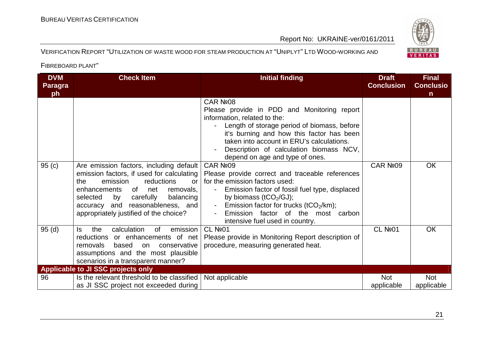

VERIFICATION REPORT "UTILIZATION OF WASTE WOOD FOR STEAM PRODUCTION AT "UNIPLYT" <sup>L</sup>TD WOOD-WORKING AND

| <b>DVM</b><br><b>Paragra</b> | <b>Check Item</b>                                                                                                                                                                                                                                                                             | <b>Initial finding</b>                                                                                                                                                                                                                                                                                         | <b>Draft</b><br><b>Conclusion</b> | <b>Final</b><br><b>Conclusio</b> |
|------------------------------|-----------------------------------------------------------------------------------------------------------------------------------------------------------------------------------------------------------------------------------------------------------------------------------------------|----------------------------------------------------------------------------------------------------------------------------------------------------------------------------------------------------------------------------------------------------------------------------------------------------------------|-----------------------------------|----------------------------------|
| ph                           |                                                                                                                                                                                                                                                                                               |                                                                                                                                                                                                                                                                                                                |                                   | $\mathbf n$                      |
|                              |                                                                                                                                                                                                                                                                                               | CAR Nº08<br>Please provide in PDD and Monitoring report<br>information, related to the:<br>Length of storage period of biomass, before<br>it's burning and how this factor has been<br>taken into account in ERU's calculations.<br>Description of calculation biomass NCV,<br>depend on age and type of ones. |                                   |                                  |
| 95(c)                        | Are emission factors, including default<br>emission factors, if used for calculating<br>the<br>emission<br>reductions<br><b>or</b><br>enhancements of net<br>removals,<br>by carefully<br>balancing<br>selected<br>accuracy and reasonableness, and<br>appropriately justified of the choice? | CAR Nº09<br>Please provide correct and traceable references<br>for the emission factors used:<br>Emission factor of fossil fuel type, displaced<br>by biomass ( $tCO2/GJ$ );<br>- Emission factor for trucks (tCO <sub>2</sub> /km);<br>Emission factor of the most carbon<br>intensive fuel used in country.  | CAR Nº <sub>09</sub>              | <b>OK</b>                        |
| 95(d)                        | emission<br>calculation<br>of<br>the<br>ls.<br>reductions or enhancements of net<br>removals<br>based<br>on<br>conservative<br>assumptions and the most plausible<br>scenarios in a transparent manner?                                                                                       | <b>CL Nº01</b><br>Please provide in Monitoring Report description of<br>procedure, measuring generated heat.                                                                                                                                                                                                   | <b>CL Nº01</b>                    | <b>OK</b>                        |
| 96                           | Applicable to JI SSC projects only<br>Is the relevant threshold to be classified<br>as JI SSC project not exceeded during                                                                                                                                                                     | Not applicable                                                                                                                                                                                                                                                                                                 | Not<br>applicable                 | Not<br>applicable                |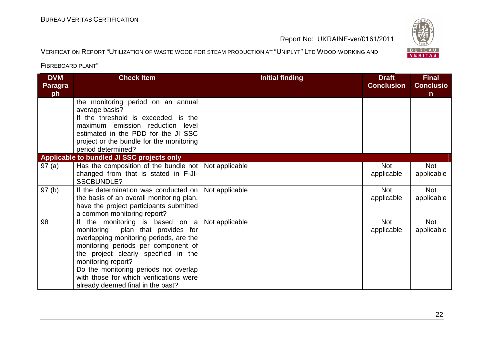### BUREAU <sup>V</sup>ERITAS <sup>C</sup>ERTIFICATION

Report No: UKRAINE-ver/0161/2011

#### VERIFICATION REPORT "UTILIZATION OF WASTE WOOD FOR STEAM PRODUCTION AT "UNIPLYT" <sup>L</sup>TD WOOD-WORKING AND

| <b>DVM</b><br><b>Paragra</b><br>ph | <b>Check Item</b>                                                                                                                                                                                                                                                                                                                                | <b>Initial finding</b> | <b>Draft</b><br><b>Conclusion</b> | <b>Final</b><br><b>Conclusio</b><br>$\mathsf{n}$ |
|------------------------------------|--------------------------------------------------------------------------------------------------------------------------------------------------------------------------------------------------------------------------------------------------------------------------------------------------------------------------------------------------|------------------------|-----------------------------------|--------------------------------------------------|
|                                    | the monitoring period on an annual<br>average basis?<br>If the threshold is exceeded, is the<br>maximum emission reduction level<br>estimated in the PDD for the JI SSC<br>project or the bundle for the monitoring<br>period determined?                                                                                                        |                        |                                   |                                                  |
|                                    | Applicable to bundled JI SSC projects only                                                                                                                                                                                                                                                                                                       |                        |                                   |                                                  |
| 97(a)                              | Has the composition of the bundle not   Not applicable<br>changed from that is stated in F-JI-<br><b>SSCBUNDLE?</b>                                                                                                                                                                                                                              |                        | <b>Not</b><br>applicable          | <b>Not</b><br>applicable                         |
| 97(b)                              | If the determination was conducted on  <br>the basis of an overall monitoring plan,<br>have the project participants submitted<br>a common monitoring report?                                                                                                                                                                                    | Not applicable         | <b>Not</b><br>applicable          | Not<br>applicable                                |
| 98                                 | If the monitoring is based on a<br>plan that provides for<br>monitoring<br>overlapping monitoring periods, are the<br>monitoring periods per component of<br>the project clearly specified in the<br>monitoring report?<br>Do the monitoring periods not overlap<br>with those for which verifications were<br>already deemed final in the past? | Not applicable         | <b>Not</b><br>applicable          | <b>Not</b><br>applicable                         |

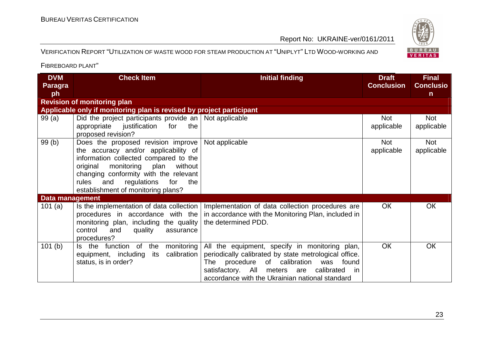#### VERIFICATION REPORT "UTILIZATION OF WASTE WOOD FOR STEAM PRODUCTION AT "UNIPLYT" <sup>L</sup>TD WOOD-WORKING AND

| <b>DVM</b><br><b>Paragra</b> | <b>Check Item</b>                                                                                                                                                                                                                                                                      | <b>Initial finding</b>                                                                                                                                                                                                                                   | <b>Draft</b><br><b>Conclusion</b> | <b>Final</b><br><b>Conclusio</b> |
|------------------------------|----------------------------------------------------------------------------------------------------------------------------------------------------------------------------------------------------------------------------------------------------------------------------------------|----------------------------------------------------------------------------------------------------------------------------------------------------------------------------------------------------------------------------------------------------------|-----------------------------------|----------------------------------|
| ph                           |                                                                                                                                                                                                                                                                                        |                                                                                                                                                                                                                                                          |                                   | $\mathsf{n}$                     |
|                              | <b>Revision of monitoring plan</b>                                                                                                                                                                                                                                                     |                                                                                                                                                                                                                                                          |                                   |                                  |
|                              | Applicable only if monitoring plan is revised by project participant                                                                                                                                                                                                                   |                                                                                                                                                                                                                                                          |                                   |                                  |
| 99(a)                        | Did the project participants provide an   Not applicable<br>appropriate<br>justification for<br>the<br>proposed revision?                                                                                                                                                              |                                                                                                                                                                                                                                                          | <b>Not</b><br>applicable          | Not<br>applicable                |
| 99(b)                        | Does the proposed revision improve<br>the accuracy and/or applicability of<br>information collected compared to the<br>original monitoring plan<br>without<br>changing conformity with the relevant<br>rules<br>and<br>regulations<br>for<br>the<br>establishment of monitoring plans? | Not applicable                                                                                                                                                                                                                                           | <b>Not</b><br>applicable          | Not<br>applicable                |
| <b>Data management</b>       |                                                                                                                                                                                                                                                                                        |                                                                                                                                                                                                                                                          |                                   |                                  |
| 101(a)                       | Is the implementation of data collection<br>procedures in accordance with the<br>monitoring plan, including the quality<br>and<br>control<br>quality<br>assurance<br>procedures?                                                                                                       | Implementation of data collection procedures are<br>in accordance with the Monitoring Plan, included in<br>the determined PDD.                                                                                                                           | <b>OK</b>                         | <b>OK</b>                        |
| 101(b)                       | Is the function of the monitoring<br>equipment, including<br>its calibration<br>status, is in order?                                                                                                                                                                                   | All the equipment, specify in monitoring plan,<br>periodically calibrated by state metrological office.<br>procedure of calibration was found<br>The<br>satisfactory. All meters are calibrated<br>in<br>accordance with the Ukrainian national standard | <b>OK</b>                         | <b>OK</b>                        |

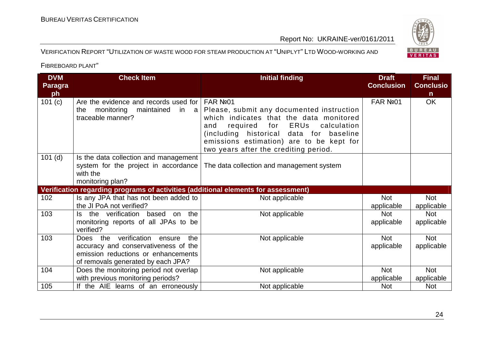

VERIFICATION REPORT "UTILIZATION OF WASTE WOOD FOR STEAM PRODUCTION AT "UNIPLYT" <sup>L</sup>TD WOOD-WORKING AND

| <b>DVM</b><br><b>Paragra</b> | <b>Check Item</b>                                                                                                                                           | <b>Initial finding</b>                                                                                                                                                                                                                                                | <b>Draft</b><br><b>Conclusion</b> | <b>Final</b><br><b>Conclusio</b> |
|------------------------------|-------------------------------------------------------------------------------------------------------------------------------------------------------------|-----------------------------------------------------------------------------------------------------------------------------------------------------------------------------------------------------------------------------------------------------------------------|-----------------------------------|----------------------------------|
| ph                           |                                                                                                                                                             |                                                                                                                                                                                                                                                                       |                                   | n.                               |
| 101 (c)                      | Are the evidence and records used for FAR Nº01<br>monitoring<br>maintained<br>the<br>in a<br>traceable manner?                                              | Please, submit any documented instruction<br>which indicates that the data monitored<br>ERUs<br>for<br>calculation<br>and<br>required<br>(including historical data for baseline<br>emissions estimation) are to be kept for<br>two years after the crediting period. | FAR Nº01                          | <b>OK</b>                        |
| $101$ (d)                    | Is the data collection and management<br>system for the project in accordance<br>with the<br>monitoring plan?                                               | The data collection and management system                                                                                                                                                                                                                             |                                   |                                  |
|                              | Verification regarding programs of activities (additional elements for assessment)                                                                          |                                                                                                                                                                                                                                                                       |                                   |                                  |
| 102                          | Is any JPA that has not been added to<br>the JI PoA not verified?                                                                                           | Not applicable                                                                                                                                                                                                                                                        | <b>Not</b><br>applicable          | <b>Not</b><br>applicable         |
| 103                          | Is the verification based on<br>the<br>monitoring reports of all JPAs to be<br>verified?                                                                    | Not applicable                                                                                                                                                                                                                                                        | <b>Not</b><br>applicable          | <b>Not</b><br>applicable         |
| 103                          | Does the verification<br>the<br>ensure<br>accuracy and conservativeness of the<br>emission reductions or enhancements<br>of removals generated by each JPA? | Not applicable                                                                                                                                                                                                                                                        | <b>Not</b><br>applicable          | <b>Not</b><br>applicable         |
| 104                          | Does the monitoring period not overlap                                                                                                                      | Not applicable                                                                                                                                                                                                                                                        | <b>Not</b>                        | <b>Not</b>                       |
|                              | with previous monitoring periods?                                                                                                                           |                                                                                                                                                                                                                                                                       | applicable                        | applicable                       |
| 105                          | If the AIE learns of an erroneously                                                                                                                         | Not applicable                                                                                                                                                                                                                                                        | <b>Not</b>                        | <b>Not</b>                       |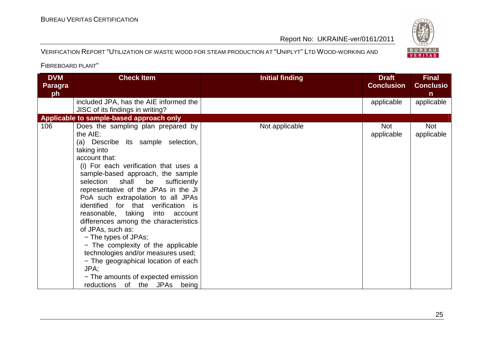#### VERIFICATION REPORT "UTILIZATION OF WASTE WOOD FOR STEAM PRODUCTION AT "UNIPLYT" <sup>L</sup>TD WOOD-WORKING AND

| <b>DVM</b><br><b>Paragra</b><br>ph | <b>Check Item</b>                                                                                                                                                                                                                                                                                                                                                                                                                                                                                                                                                                                                                                                                          | <b>Initial finding</b> | <b>Draft</b><br><b>Conclusion</b> | <b>Final</b><br><b>Conclusio</b><br>n |
|------------------------------------|--------------------------------------------------------------------------------------------------------------------------------------------------------------------------------------------------------------------------------------------------------------------------------------------------------------------------------------------------------------------------------------------------------------------------------------------------------------------------------------------------------------------------------------------------------------------------------------------------------------------------------------------------------------------------------------------|------------------------|-----------------------------------|---------------------------------------|
|                                    | included JPA, has the AIE informed the<br>JISC of its findings in writing?                                                                                                                                                                                                                                                                                                                                                                                                                                                                                                                                                                                                                 |                        | applicable                        | applicable                            |
|                                    | Applicable to sample-based approach only                                                                                                                                                                                                                                                                                                                                                                                                                                                                                                                                                                                                                                                   |                        |                                   |                                       |
| 106                                | Does the sampling plan prepared by<br>the AIE:<br>(a) Describe its sample selection,<br>taking into<br>account that:<br>(i) For each verification that uses a<br>sample-based approach, the sample<br>selection shall<br>be<br>sufficiently<br>representative of the JPAs in the JI<br>PoA such extrapolation to all JPAs<br>identified for that verification is<br>reasonable, taking into account<br>differences among the characteristics<br>of JPAs, such as:<br>- The types of JPAs;<br>- The complexity of the applicable<br>technologies and/or measures used;<br>- The geographical location of each<br>JPA;<br>- The amounts of expected emission<br>reductions of the JPAs being | Not applicable         | <b>Not</b><br>applicable          | <b>Not</b><br>applicable              |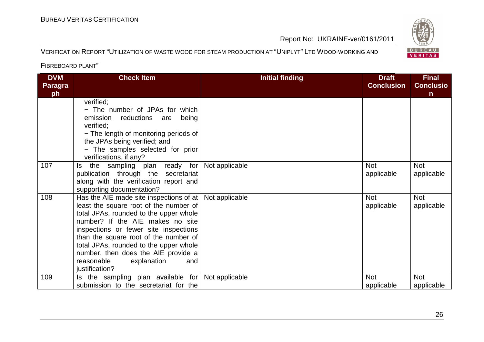### BUREAU <sup>V</sup>ERITAS <sup>C</sup>ERTIFICATION

Report No: UKRAINE-ver/0161/2011

#### VERIFICATION REPORT "UTILIZATION OF WASTE WOOD FOR STEAM PRODUCTION AT "UNIPLYT" <sup>L</sup>TD WOOD-WORKING AND

| <b>DVM</b><br><b>Paragra</b><br>ph | <b>Check Item</b>                                                                                                                                                                                                                                                                                                                                                                                               | <b>Initial finding</b> | <b>Draft</b><br><b>Conclusion</b> | <b>Final</b><br><b>Conclusio</b><br>n. |
|------------------------------------|-----------------------------------------------------------------------------------------------------------------------------------------------------------------------------------------------------------------------------------------------------------------------------------------------------------------------------------------------------------------------------------------------------------------|------------------------|-----------------------------------|----------------------------------------|
|                                    | verified;<br>- The number of JPAs for which<br>reductions are<br>emission<br>being<br>verified:<br>- The length of monitoring periods of<br>the JPAs being verified; and<br>- The samples selected for prior<br>verifications, if any?                                                                                                                                                                          |                        |                                   |                                        |
| 107                                | the sampling plan ready for<br>ls.<br>publication through the secretariat<br>along with the verification report and<br>supporting documentation?                                                                                                                                                                                                                                                                | Not applicable         | <b>Not</b><br>applicable          | <b>Not</b><br>applicable               |
| 108                                | Has the AIE made site inspections of at $\vert$ Not applicable<br>least the square root of the number of<br>total JPAs, rounded to the upper whole<br>number? If the AIE makes no site<br>inspections or fewer site inspections<br>than the square root of the number of<br>total JPAs, rounded to the upper whole<br>number, then does the AIE provide a<br>reasonable<br>explanation<br>and<br>justification? |                        | <b>Not</b><br>applicable          | <b>Not</b><br>applicable               |
| 109                                | Is the sampling plan available for<br>submission to the secretariat for the                                                                                                                                                                                                                                                                                                                                     | Not applicable         | <b>Not</b><br>applicable          | <b>Not</b><br>applicable               |

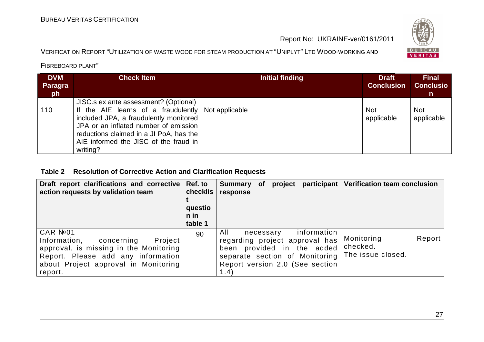#### VERIFICATION REPORT "UTILIZATION OF WASTE WOOD FOR STEAM PRODUCTION AT "UNIPLYT" <sup>L</sup>TD WOOD-WORKING AND

FIBREBOARD PLANT"

| <b>DVM</b><br>Paragra<br>ph | <b>Check Item</b>                                                                                                                                                                                                                             | Initial finding | <b>Draft</b><br><b>Conclusion</b> | <b>Final</b><br><b>Conclusio</b><br>n. |
|-----------------------------|-----------------------------------------------------------------------------------------------------------------------------------------------------------------------------------------------------------------------------------------------|-----------------|-----------------------------------|----------------------------------------|
|                             | JISC.s ex ante assessment? (Optional)                                                                                                                                                                                                         |                 |                                   |                                        |
| 110                         | If the AIE learns of a fraudulently $\vert$ Not applicable<br>included JPA, a fraudulently monitored<br>JPA or an inflated number of emission<br>reductions claimed in a JI PoA, has the<br>AIE informed the JISC of the fraud in<br>writing? |                 | <b>Not</b><br>applicable          | <b>Not</b><br>applicable               |

#### **Table 2 Resolution of Corrective Action and Clarification Requests**

| Draft report clarifications and corrective Ref. to<br>action requests by validation team                                                                                              | checklis<br>questio<br>n in<br>table 1 | participant<br>project<br>Summary of<br>response                                                                                                                                | <b>Verification team conclusion</b>                   |
|---------------------------------------------------------------------------------------------------------------------------------------------------------------------------------------|----------------------------------------|---------------------------------------------------------------------------------------------------------------------------------------------------------------------------------|-------------------------------------------------------|
| CAR №01<br>Project  <br>Information,<br>concerning<br>approval, is missing in the Monitoring<br>Report. Please add any information<br>about Project approval in Monitoring<br>report. | 90                                     | information<br>All<br>necessary<br>regarding project approval has<br>provided in the added<br>been<br>separate section of Monitoring<br>Report version 2.0 (See section<br>1.4) | Report<br>Monitoring<br>checked.<br>The issue closed. |

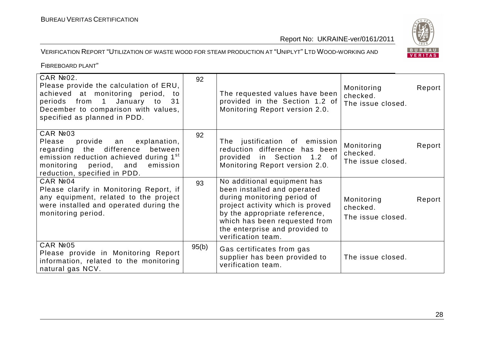# BUREAU<br>VERITAS

#### VERIFICATION REPORT "UTILIZATION OF WASTE WOOD FOR STEAM PRODUCTION AT "UNIPLYT" <sup>L</sup>TD WOOD-WORKING AND

| <b>CAR Nº02.</b><br>Please provide the calculation of ERU,<br>achieved at monitoring period, to<br>periods from 1 January to<br>31<br>December to comparison with values,<br>specified as planned in PDD.    | 92    | The requested values have been<br>provided in the Section 1.2 of<br>Monitoring Report version 2.0.                                                                                                                                                      | Monitoring<br>checked.<br>The issue closed. | Report |
|--------------------------------------------------------------------------------------------------------------------------------------------------------------------------------------------------------------|-------|---------------------------------------------------------------------------------------------------------------------------------------------------------------------------------------------------------------------------------------------------------|---------------------------------------------|--------|
| CAR №03<br>Please provide an explanation,<br>regarding the difference<br>between<br>emission reduction achieved during 1 <sup>st</sup><br>monitoring period, and<br>emission<br>reduction, specified in PDD. | 92    | The justification of emission<br>reduction difference has been<br>provided in Section 1.2 of<br>Monitoring Report version 2.0.                                                                                                                          | Monitoring<br>checked.<br>The issue closed. | Report |
| CAR №04<br>Please clarify in Monitoring Report, if<br>any equipment, related to the project<br>were installed and operated during the<br>monitoring period.                                                  | 93    | No additional equipment has<br>been installed and operated<br>during monitoring period of<br>project activity which is proved<br>by the appropriate reference,<br>which has been requested from<br>the enterprise and provided to<br>verification team. | Monitoring<br>checked.<br>The issue closed. | Report |
| CAR №05<br>Please provide in Monitoring Report<br>information, related to the monitoring<br>natural gas NCV.                                                                                                 | 95(b) | Gas certificates from gas<br>supplier has been provided to<br>verification team.                                                                                                                                                                        | The issue closed.                           |        |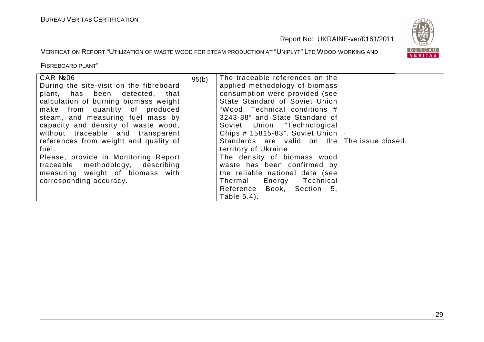

VERIFICATION REPORT "UTILIZATION OF WASTE WOOD FOR STEAM PRODUCTION AT "UNIPLYT" <sup>L</sup>TD WOOD-WORKING AND

| CAR №06<br>During the site-visit on the fibreboard<br>plant, has been detected, that<br>calculation of burning biomass weight<br>make from quantity of produced<br>steam, and measuring fuel mass by<br>capacity and density of waste wood,<br>without traceable and transparent<br>references from weight and quality of<br>fuel.<br>Please, provide in Monitoring Report<br>traceable methodology, describing<br>measuring weight of biomass with<br>corresponding accuracy. | 95(b) | The traceable references on the<br>applied methodology of biomass<br>consumption were provided (see<br>State Standard of Soviet Union<br>"Wood. Technical conditions #<br>3243-88" and State Standard of<br>Soviet Union "Technological<br>Chips # 15815-83". Soviet Union  <br>Standards are valid on the The issue closed.<br>territory of Ukraine.<br>The density of biomass wood<br>waste has been confirmed by<br>the reliable national data (see<br>Thermal Energy Technical |  |
|--------------------------------------------------------------------------------------------------------------------------------------------------------------------------------------------------------------------------------------------------------------------------------------------------------------------------------------------------------------------------------------------------------------------------------------------------------------------------------|-------|------------------------------------------------------------------------------------------------------------------------------------------------------------------------------------------------------------------------------------------------------------------------------------------------------------------------------------------------------------------------------------------------------------------------------------------------------------------------------------|--|
|                                                                                                                                                                                                                                                                                                                                                                                                                                                                                |       | Reference Book, Section 5,<br>Table 5.4).                                                                                                                                                                                                                                                                                                                                                                                                                                          |  |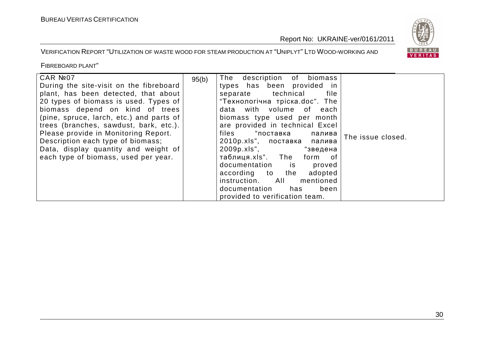

VERIFICATION REPORT "UTILIZATION OF WASTE WOOD FOR STEAM PRODUCTION AT "UNIPLYT" <sup>L</sup>TD WOOD-WORKING AND

| CAR Nº07<br>During the site-visit on the fibreboard<br>plant, has been detected, that about<br>20 types of biomass is used. Types of<br>biomass depend on kind of trees<br>(pine, spruce, larch, etc.) and parts of<br>trees (branches, sawdust, bark, etc.).<br>Please provide in Monitoring Report.<br>Description each type of biomass;<br>Data, display quantity and weight of | 95(b) | The description of biomass<br>types has been provided in<br>separate technical<br>file<br>"Технологічна тріска.doc". The<br>data with volume of each<br>biomass type used per month<br>are provided in technical Excel<br>files "поставка<br>палива<br>2010p.xls", поставка<br>палива<br>2009p.xls",<br>"зведена | The issue closed. |
|------------------------------------------------------------------------------------------------------------------------------------------------------------------------------------------------------------------------------------------------------------------------------------------------------------------------------------------------------------------------------------|-------|------------------------------------------------------------------------------------------------------------------------------------------------------------------------------------------------------------------------------------------------------------------------------------------------------------------|-------------------|
| each type of biomass, used per year.                                                                                                                                                                                                                                                                                                                                               |       | таблиця.xls". The form of<br>documentation is proved<br>according to the<br>adopted                                                                                                                                                                                                                              |                   |
|                                                                                                                                                                                                                                                                                                                                                                                    |       | instruction. All<br>mentioned<br>documentation<br>has<br>been<br>provided to verification team.                                                                                                                                                                                                                  |                   |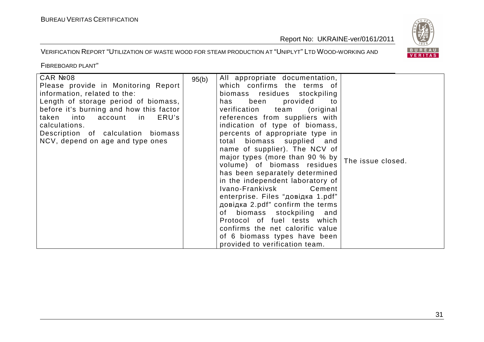

#### VERIFICATION REPORT "UTILIZATION OF WASTE WOOD FOR STEAM PRODUCTION AT "UNIPLYT" <sup>L</sup>TD WOOD-WORKING AND

| CAR №08<br>Please provide in Monitoring Report<br>information, related to the:<br>Length of storage period of biomass,<br>before it's burning and how this factor<br>taken<br>into<br>ERU's<br>account<br>in<br>calculations.<br>Description of calculation biomass<br>NCV, depend on age and type ones | 95(b) | All appropriate documentation,<br>which confirms the terms of<br>biomass residues stockpiling<br>provided<br>has been<br>to<br>verification team<br>(original)<br>references from suppliers with<br>indication of type of biomass,<br>percents of appropriate type in<br>total biomass supplied and<br>name of supplier). The NCV of<br>major types (more than 90 % by<br>volume) of biomass residues<br>has been separately determined<br>in the independent laboratory of<br>Ivano-Frankivsk<br>Cement<br>enterprise. Files "довідка 1.pdf"<br>довідка 2.pdf" confirm the terms<br>of biomass stockpiling<br>and | The issue closed. |
|---------------------------------------------------------------------------------------------------------------------------------------------------------------------------------------------------------------------------------------------------------------------------------------------------------|-------|--------------------------------------------------------------------------------------------------------------------------------------------------------------------------------------------------------------------------------------------------------------------------------------------------------------------------------------------------------------------------------------------------------------------------------------------------------------------------------------------------------------------------------------------------------------------------------------------------------------------|-------------------|
|                                                                                                                                                                                                                                                                                                         |       | Protocol of fuel tests which<br>confirms the net calorific value<br>of 6 biomass types have been<br>provided to verification team.                                                                                                                                                                                                                                                                                                                                                                                                                                                                                 |                   |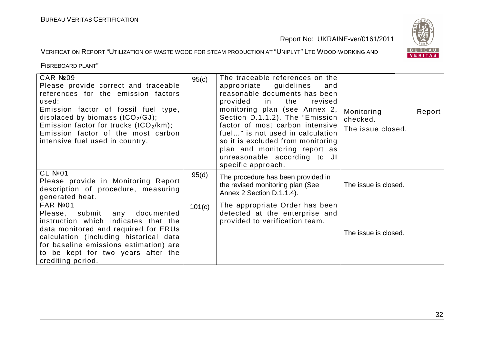

VERIFICATION REPORT "UTILIZATION OF WASTE WOOD FOR STEAM PRODUCTION AT "UNIPLYT" <sup>L</sup>TD WOOD-WORKING AND

| CAR Nº09<br>Please provide correct and traceable<br>references for the emission factors<br>used:<br>Emission factor of fossil fuel type,<br>displaced by biomass $(tCO2/GJ)$ ;<br>Emission factor for trucks (tCO <sub>2</sub> /km);<br>Emission factor of the most carbon<br>intensive fuel used in country. | 95(c)  | The traceable references on the<br>appropriate guidelines<br>and<br>reasonable documents has been<br>provided in<br>the<br>revised<br>monitoring plan (see Annex 2,<br>Section D.1.1.2). The "Emission<br>factor of most carbon intensive<br>fuel" is not used in calculation<br>so it is excluded from monitoring<br>plan and monitoring report as<br>unreasonable according to JI<br>specific approach. | Monitoring<br>Report<br>checked.<br>The issue closed. |
|---------------------------------------------------------------------------------------------------------------------------------------------------------------------------------------------------------------------------------------------------------------------------------------------------------------|--------|-----------------------------------------------------------------------------------------------------------------------------------------------------------------------------------------------------------------------------------------------------------------------------------------------------------------------------------------------------------------------------------------------------------|-------------------------------------------------------|
| $CL$ Nº01<br>Please provide in Monitoring Report<br>description of procedure, measuring<br>generated heat.                                                                                                                                                                                                    | 95(d)  | The procedure has been provided in<br>the revised monitoring plan (See<br>Annex 2 Section D.1.1.4).                                                                                                                                                                                                                                                                                                       | The issue is closed.                                  |
| FAR Nº01<br>Please, submit<br>any<br>documented<br>instruction which indicates that the<br>data monitored and required for ERUs<br>calculation (including historical data<br>for baseline emissions estimation) are<br>to be kept for two years after the<br>crediting period.                                | 101(c) | The appropriate Order has been<br>detected at the enterprise and<br>provided to verification team.                                                                                                                                                                                                                                                                                                        | The issue is closed.                                  |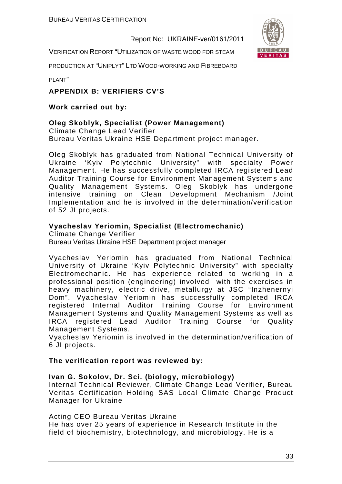VERIFICATION REPORT "UTILIZATION OF WASTE WOOD FOR STEAM

PRODUCTION AT "UNIPLYT" LTD WOOD-WORKING AND FIBREBOARD

PLANT"

#### **APPENDIX B: VERIFIERS CV'S**

#### **Work carried out by:**

#### **Oleg Skoblyk, Specialist (Power Management)**

Climate Change Lead Verifier Bureau Veritas Ukraine HSE Department project manager.

Oleg Skoblyk has graduated from National Technical University of Ukraine 'Kyiv Polytechnic University" with specialty Power Management. He has successfully completed IRCA registered Lead Auditor Training Course for Environment Management Systems and Quality Management Systems. Oleg Skoblyk has undergone intensive training on Clean Development Mechanism /Joint Implementation and he is involved in the determination/verification of 52 JI projects.

#### **Vyacheslav Yeriomin, Specialist (Electromechanic)**

Climate Change Verifier Bureau Veritas Ukraine HSE Department project manager

Vyacheslav Yeriomin has graduated from National Technical University of Ukraine 'Kyiv Polytechnic University" with specialty Electromechanic. He has experience related to working in a professional position (engineering) involved with the exercises in heavy machinery, electric drive, metallurgy at JSC "Inzhenernyi Dom". Vyacheslav Yeriomin has successfully completed IRCA registered Internal Auditor Training Course for Environment Management Systems and Quality Management Systems as well as IRCA registered Lead Auditor Training Course for Quality Management Systems.

Vyacheslav Yeriomin is involved in the determination/verification of 6 JI projects.

#### **The verification report was reviewed by:**

#### **Ivan G. Sokolov, Dr. Sci. (biology, microbiology)**

Internal Technical Reviewer, Climate Change Lead Verifier, Bureau Veritas Certification Holding SAS Local Climate Change Product Manager for Ukraine

#### Acting CEO Bureau Veritas Ukraine

He has over 25 years of experience in Research Institute in the field of biochemistry, biotechnology, and microbiology. He is a